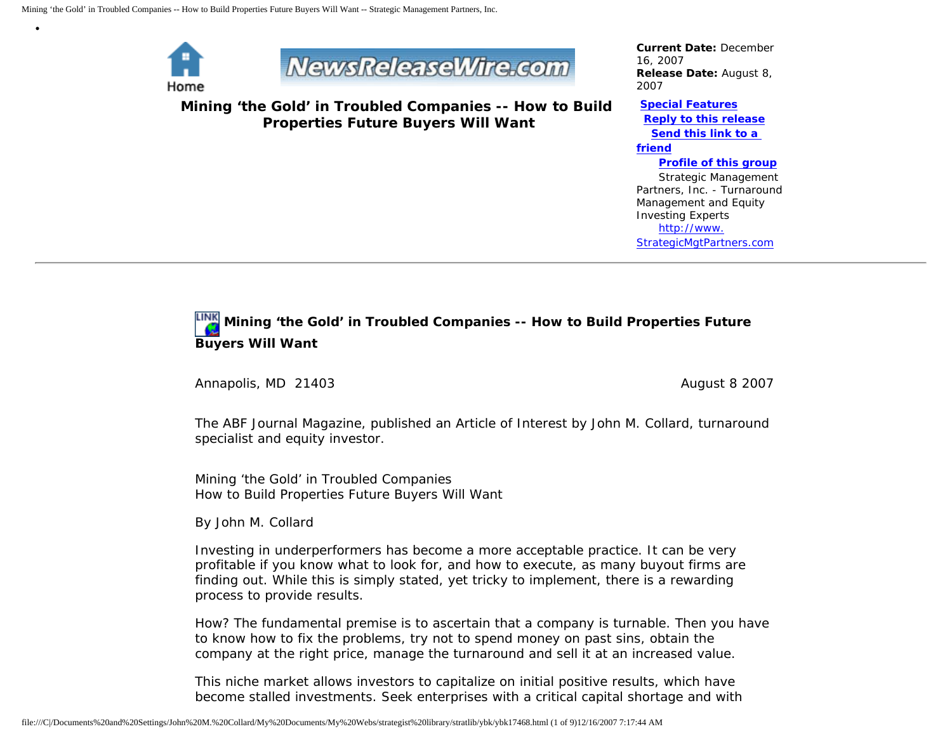

•



**Mining 'the Gold' in Troubled Companies -- How to Build Properties Future Buyers Will Want**

*Current Date:* December 16, 2007 *Release Date:* August 8, 2007

**[Special Features](javascript:openlittleme() [Reply to this release](file:///C|/Documents%20and%20Settings/John%20M.%20Collard/My%20Documents/My%20Webs/strategist%20library/stratlib/ybk/default.cfm?Action=ReplyRelease&Id=17468) [Send this link to a](file:///C|/Documents%20and%20Settings/John%20M.%20Collard/My%20Documents/My%20Webs/strategist%20library/stratlib/ybk/default.cfm?Action=SendLink&SendId=17468)  [friend](file:///C|/Documents%20and%20Settings/John%20M.%20Collard/My%20Documents/My%20Webs/strategist%20library/stratlib/ybk/default.cfm?Action=SendLink&SendId=17468) [Profile of this group](file:///C|/Documents%20and%20Settings/John%20M.%20Collard/My%20Documents/My%20Webs/strategist%20library/stratlib/ybk/default.cfm?Action=Profile&ProfileId=623)**

 Strategic Management Partners, Inc. - Turnaround Management and Equity Investing Experts [http://www.](http://www.strategicmgtpartners.com/) [StrategicMgtPartners.com](http://www.strategicmgtpartners.com/)

# **Mining 'the Gold' in Troubled Companies -- How to Build Properties Future Buyers Will Want**

Annapolis, MD 21403 **August 8 2007** August 8 2007

The ABF Journal Magazine, published an Article of Interest by John M. Collard, turnaround specialist and equity investor.

Mining 'the Gold' in Troubled Companies How to Build Properties Future Buyers Will Want

By John M. Collard

Investing in underperformers has become a more acceptable practice. It can be very profitable if you know what to look for, and how to execute, as many buyout firms are finding out. While this is simply stated, yet tricky to implement, there is a rewarding process to provide results.

How? The fundamental premise is to ascertain that a company is turnable. Then you have to know how to fix the problems, try not to spend money on past sins, obtain the company at the right price, manage the turnaround and sell it at an increased value.

This niche market allows investors to capitalize on initial positive results, which have become stalled investments. Seek enterprises with a critical capital shortage and with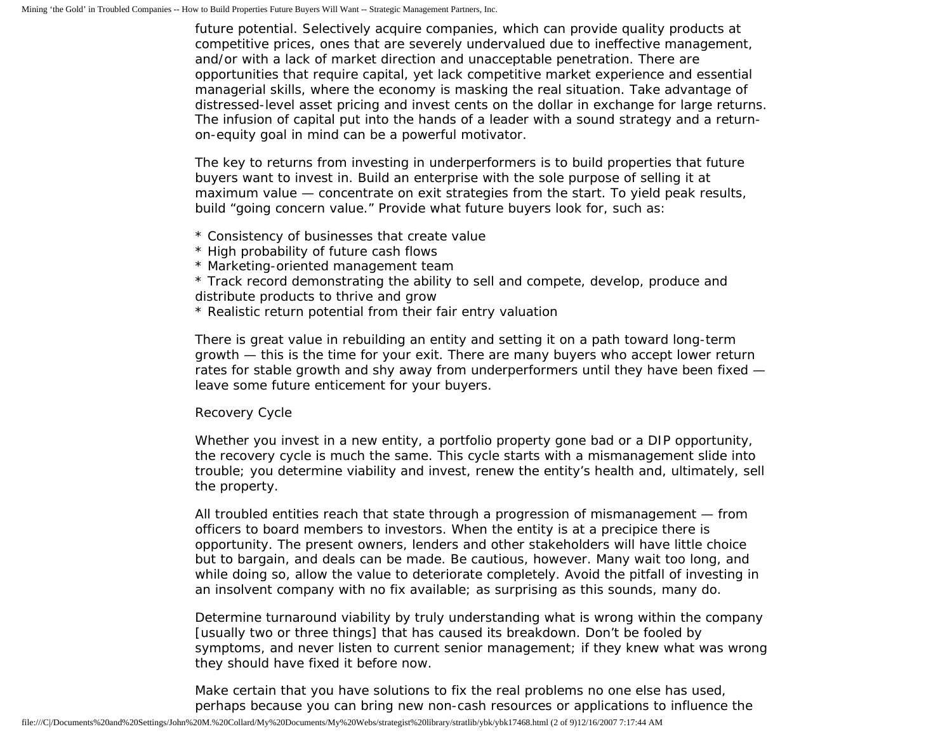future potential. Selectively acquire companies, which can provide quality products at competitive prices, ones that are severely undervalued due to ineffective management, and/or with a lack of market direction and unacceptable penetration. There are opportunities that require capital, yet lack competitive market experience and essential managerial skills, where the economy is masking the real situation. Take advantage of distressed-level asset pricing and invest cents on the dollar in exchange for large returns. The infusion of capital put into the hands of a leader with a sound strategy and a returnon-equity goal in mind can be a powerful motivator.

The key to returns from investing in underperformers is to build properties that future buyers want to invest in. Build an enterprise with the sole purpose of selling it at maximum value — concentrate on exit strategies from the start. To yield peak results, build "going concern value." Provide what future buyers look for, such as:

- \* Consistency of businesses that create value
- \* High probability of future cash flows
- \* Marketing-oriented management team
- \* Track record demonstrating the ability to sell and compete, develop, produce and distribute products to thrive and grow
- \* Realistic return potential from their fair entry valuation

There is great value in rebuilding an entity and setting it on a path toward long-term growth — this is the time for your exit. There are many buyers who accept lower return rates for stable growth and shy away from underperformers until they have been fixed leave some future enticement for your buyers.

## Recovery Cycle

Whether you invest in a new entity, a portfolio property gone bad or a DIP opportunity, the recovery cycle is much the same. This cycle starts with a mismanagement slide into trouble; you determine viability and invest, renew the entity's health and, ultimately, sell the property.

All troubled entities reach that state through a progression of mismanagement — from officers to board members to investors. When the entity is at a precipice there is opportunity. The present owners, lenders and other stakeholders will have little choice but to bargain, and deals can be made. Be cautious, however. Many wait too long, and while doing so, allow the value to deteriorate completely. Avoid the pitfall of investing in an insolvent company with no fix available; as surprising as this sounds, many do.

Determine turnaround viability by truly understanding what is wrong within the company [usually two or three things] that has caused its breakdown. Don't be fooled by symptoms, and never listen to current senior management; if they knew what was wrong they should have fixed it before now.

Make certain that you have solutions to fix the real problems no one else has used, perhaps because you can bring new non-cash resources or applications to influence the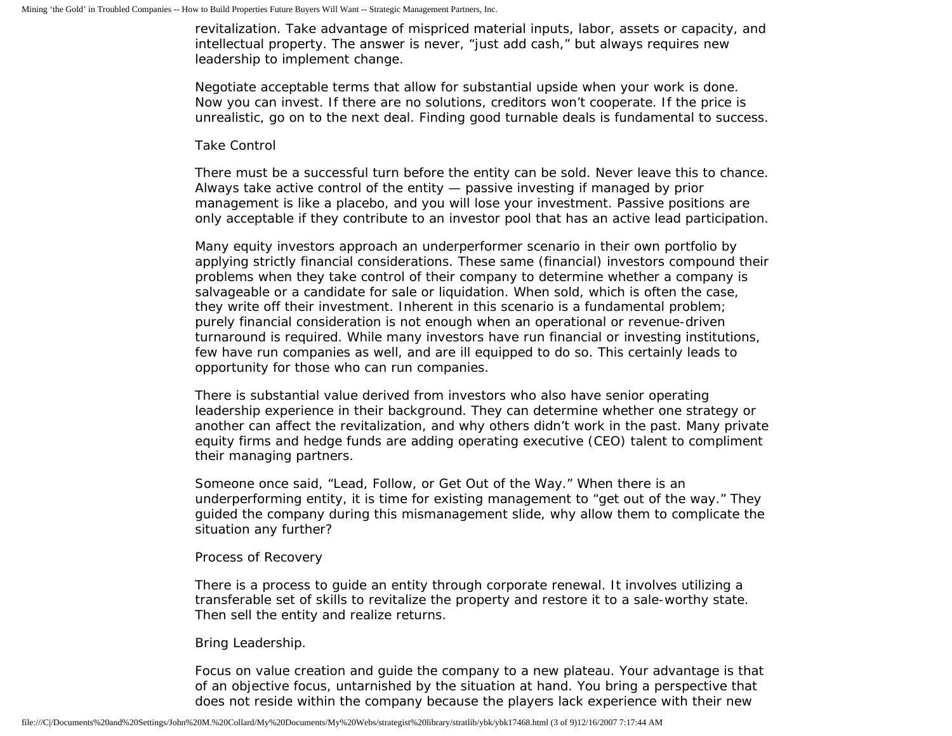revitalization. Take advantage of mispriced material inputs, labor, assets or capacity, and intellectual property. The answer is never, "just add cash," but always requires new leadership to implement change.

Negotiate acceptable terms that allow for substantial upside when your work is done. Now you can invest. If there are no solutions, creditors won't cooperate. If the price is unrealistic, go on to the next deal. Finding good turnable deals is fundamental to success.

#### Take Control

There must be a successful turn before the entity can be sold. Never leave this to chance. Always take active control of the entity — passive investing if managed by prior management is like a placebo, and you will lose your investment. Passive positions are only acceptable if they contribute to an investor pool that has an active lead participation.

Many equity investors approach an underperformer scenario in their own portfolio by applying strictly financial considerations. These same (financial) investors compound their problems when they take control of their company to determine whether a company is salvageable or a candidate for sale or liquidation. When sold, which is often the case, they write off their investment. Inherent in this scenario is a fundamental problem; purely financial consideration is not enough when an operational or revenue-driven turnaround is required. While many investors have run financial or investing institutions, few have run companies as well, and are ill equipped to do so. This certainly leads to opportunity for those who can run companies.

There is substantial value derived from investors who also have senior operating leadership experience in their background. They can determine whether one strategy or another can affect the revitalization, and why others didn't work in the past. Many private equity firms and hedge funds are adding operating executive (CEO) talent to compliment their managing partners.

Someone once said, "Lead, Follow, or Get Out of the Way." When there is an underperforming entity, it is time for existing management to "get out of the way." They guided the company during this mismanagement slide, why allow them to complicate the situation any further?

## Process of Recovery

There is a process to guide an entity through corporate renewal. It involves utilizing a transferable set of skills to revitalize the property and restore it to a sale-worthy state. Then sell the entity and realize returns.

## Bring Leadership.

Focus on value creation and guide the company to a new plateau. Your advantage is that of an objective focus, untarnished by the situation at hand. You bring a perspective that does not reside within the company because the players lack experience with their new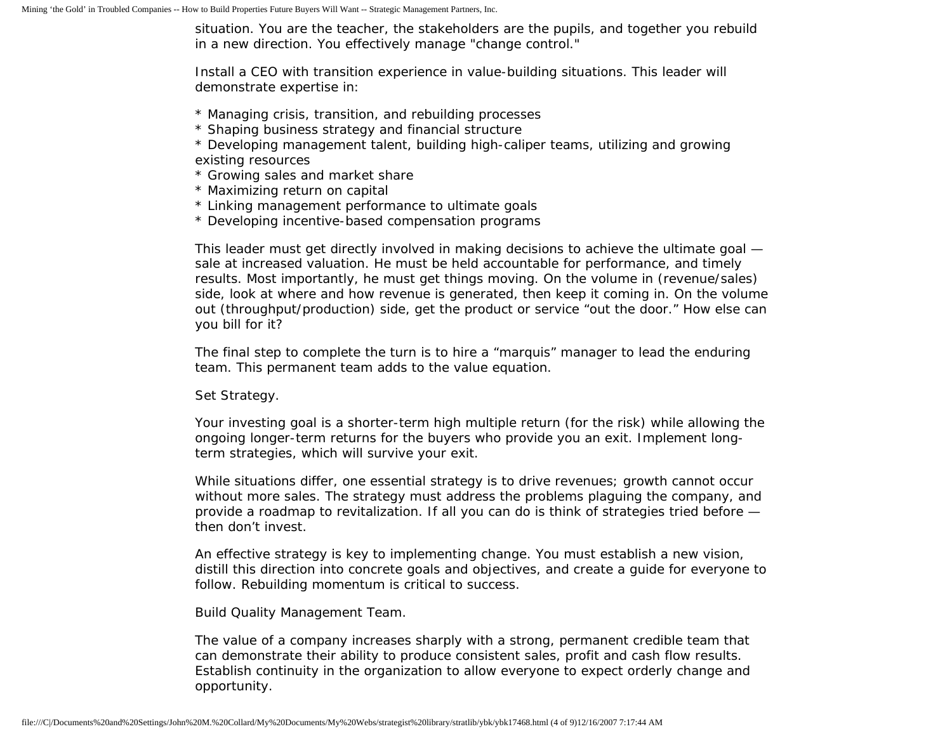situation. You are the teacher, the stakeholders are the pupils, and together you rebuild in a new direction. You effectively manage "change control."

Install a CEO with transition experience in value-building situations. This leader will demonstrate expertise in:

- \* Managing crisis, transition, and rebuilding processes
- \* Shaping business strategy and financial structure
- \* Developing management talent, building high-caliper teams, utilizing and growing existing resources
- \* Growing sales and market share
- \* Maximizing return on capital
- \* Linking management performance to ultimate goals
- \* Developing incentive-based compensation programs

This leader must get directly involved in making decisions to achieve the ultimate goal sale at increased valuation. He must be held accountable for performance, and timely results. Most importantly, he must get things moving. On the volume in (revenue/sales) side, look at where and how revenue is generated, then keep it coming in. On the volume out (throughput/production) side, get the product or service "out the door." How else can you bill for it?

The final step to complete the turn is to hire a "marquis" manager to lead the enduring team. This permanent team adds to the value equation.

## Set Strategy.

Your investing goal is a shorter-term high multiple return (for the risk) while allowing the ongoing longer-term returns for the buyers who provide you an exit. Implement longterm strategies, which will survive your exit.

While situations differ, one essential strategy is to drive revenues; growth cannot occur without more sales. The strategy must address the problems plaguing the company, and provide a roadmap to revitalization. If all you can do is think of strategies tried before then don't invest.

An effective strategy is key to implementing change. You must establish a new vision, distill this direction into concrete goals and objectives, and create a guide for everyone to follow. Rebuilding momentum is critical to success.

Build Quality Management Team.

The value of a company increases sharply with a strong, permanent credible team that can demonstrate their ability to produce consistent sales, profit and cash flow results. Establish continuity in the organization to allow everyone to expect orderly change and opportunity.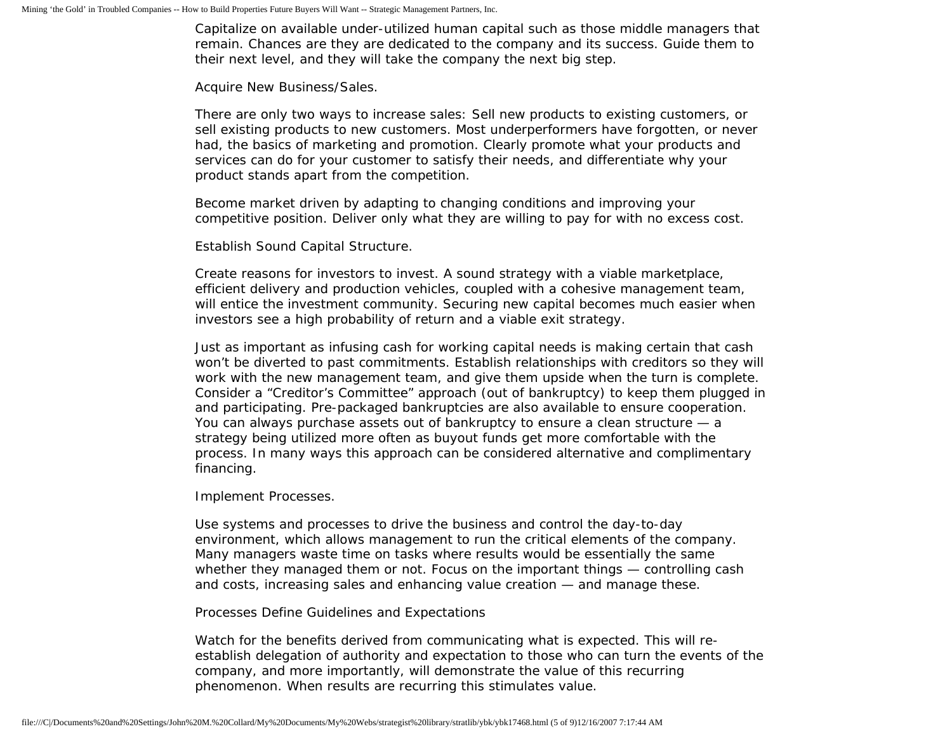Capitalize on available under-utilized human capital such as those middle managers that remain. Chances are they are dedicated to the company and its success. Guide them to their next level, and they will take the company the next big step.

#### Acquire New Business/Sales.

There are only two ways to increase sales: Sell new products to existing customers, or sell existing products to new customers. Most underperformers have forgotten, or never had, the basics of marketing and promotion. Clearly promote what your products and services can do for your customer to satisfy their needs, and differentiate why your product stands apart from the competition.

Become market driven by adapting to changing conditions and improving your competitive position. Deliver only what they are willing to pay for with no excess cost.

Establish Sound Capital Structure.

Create reasons for investors to invest. A sound strategy with a viable marketplace, efficient delivery and production vehicles, coupled with a cohesive management team, will entice the investment community. Securing new capital becomes much easier when investors see a high probability of return and a viable exit strategy.

Just as important as infusing cash for working capital needs is making certain that cash won't be diverted to past commitments. Establish relationships with creditors so they will work with the new management team, and give them upside when the turn is complete. Consider a "Creditor's Committee" approach (out of bankruptcy) to keep them plugged in and participating. Pre-packaged bankruptcies are also available to ensure cooperation. You can always purchase assets out of bankruptcy to ensure a clean structure — a strategy being utilized more often as buyout funds get more comfortable with the process. In many ways this approach can be considered alternative and complimentary financing.

## Implement Processes.

Use systems and processes to drive the business and control the day-to-day environment, which allows management to run the critical elements of the company. Many managers waste time on tasks where results would be essentially the same whether they managed them or not. Focus on the important things — controlling cash and costs, increasing sales and enhancing value creation — and manage these.

## Processes Define Guidelines and Expectations

Watch for the benefits derived from communicating what is expected. This will reestablish delegation of authority and expectation to those who can turn the events of the company, and more importantly, will demonstrate the value of this recurring phenomenon. When results are recurring this stimulates value.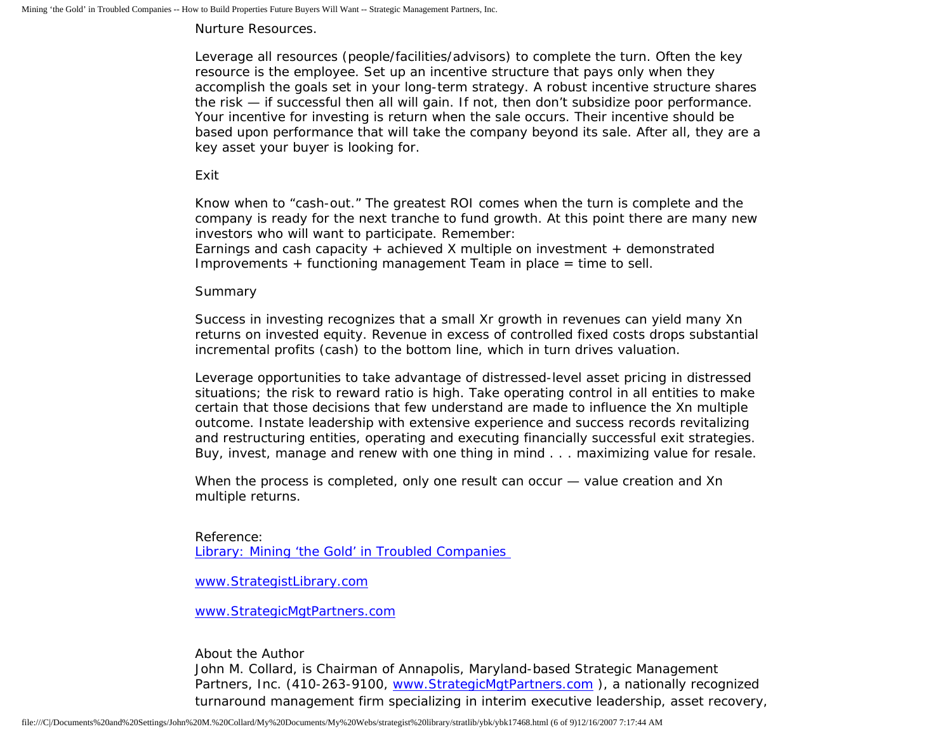Nurture Resources.

Leverage all resources (people/facilities/advisors) to complete the turn. Often the key resource is the employee. Set up an incentive structure that pays only when they accomplish the goals set in your long-term strategy. A robust incentive structure shares the risk — if successful then all will gain. If not, then don't subsidize poor performance. Your incentive for investing is return when the sale occurs. Their incentive should be based upon performance that will take the company beyond its sale. After all, they are a key asset your buyer is looking for.

Exit

Know when to "cash-out." The greatest ROI comes when the turn is complete and the company is ready for the next tranche to fund growth. At this point there are many new investors who will want to participate. Remember:

Earnings and cash capacity + achieved X multiple on investment + demonstrated Improvements + functioning management Team in place = time to sell.

## Summary

Success in investing recognizes that a small Xr growth in revenues can yield many Xn returns on invested equity. Revenue in excess of controlled fixed costs drops substantial incremental profits (cash) to the bottom line, which in turn drives valuation.

Leverage opportunities to take advantage of distressed-level asset pricing in distressed situations; the risk to reward ratio is high. Take operating control in all entities to make certain that those decisions that few understand are made to influence the Xn multiple outcome. Instate leadership with extensive experience and success records revitalizing and restructuring entities, operating and executing financially successful exit strategies. Buy, invest, manage and renew with one thing in mind . . . maximizing value for resale.

When the process is completed, only one result can occur — value creation and Xn multiple returns.

Reference: [Library: Mining 'the Gold' in Troubled Companies](http://members.aol.com/stratlib3/abfjgold.html)

[www.StrategistLibrary.com](http://www.strategistlibrary.com/)

[www.StrategicMgtPartners.com](http://www.strategicmgtpartners.com/)

About the Author

John M. Collard, is Chairman of Annapolis, Maryland-based Strategic Management Partners, Inc. (410-263-9100, [www.StrategicMgtPartners.com](http://www.strategicmgtpartners.com/) ), a nationally recognized turnaround management firm specializing in interim executive leadership, asset recovery,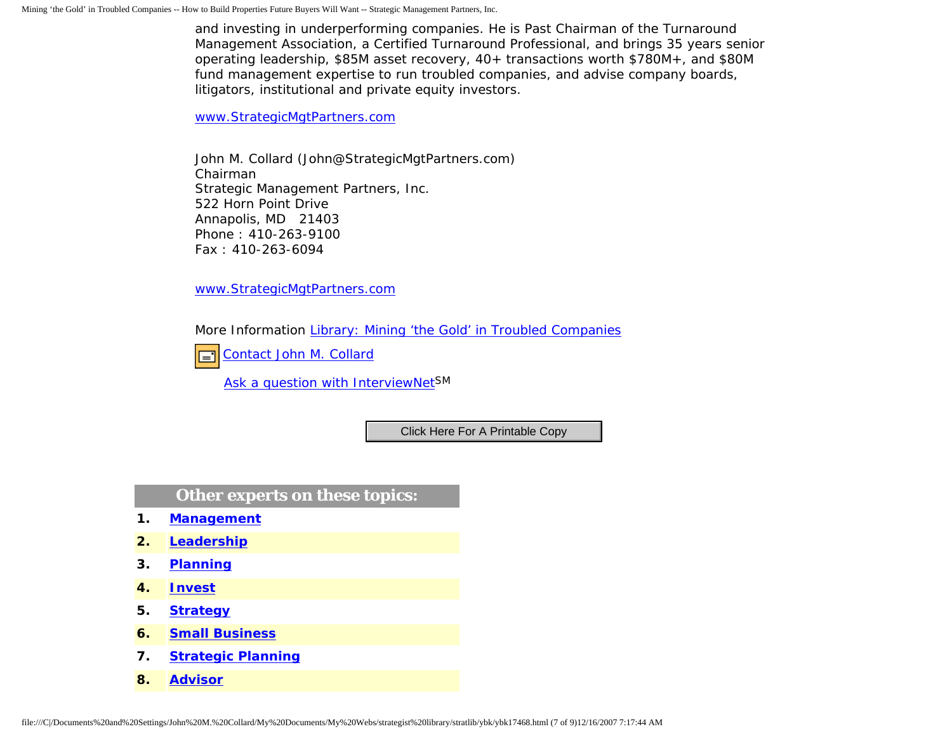and investing in underperforming companies. He is Past Chairman of the Turnaround Management Association, a Certified Turnaround Professional, and brings 35 years senior operating leadership, \$85M asset recovery, 40+ transactions worth \$780M+, and \$80M fund management expertise to run troubled companies, and advise company boards, litigators, institutional and private equity investors.

[www.StrategicMgtPartners.com](http://www.strategicmgtpartners.com/)

John M. Collard (John@StrategicMgtPartners.com) Chairman Strategic Management Partners, Inc. 522 Horn Point Drive Annapolis, MD 21403 Phone : 410-263-9100 Fax : 410-263-6094

[www.StrategicMgtPartners.com](http://www.strategicmgtpartners.com/)

More Information [Library: Mining 'the Gold' in Troubled Companies](http://members.aol.com/stratlib3/abfjgold.html)



[Ask a question with InterviewNetS](http://www.expertclick.com/expertClick/contact/default.cfm?GroupID=1016)M

## **Other experts on these topics:**

- **1. [Management](http://www.expertclick.com/search/default.cfm?SearchCriteria=Management)**
- **2. [Leadership](http://www.expertclick.com/search/default.cfm?SearchCriteria=Leadership)**
- **3. [Planning](http://www.expertclick.com/search/default.cfm?SearchCriteria=Planning)**
- **4. [Invest](http://www.expertclick.com/search/default.cfm?SearchCriteria=Invest)**
- **5. [Strategy](http://www.expertclick.com/search/default.cfm?SearchCriteria=Strategy)**
- **6. [Small Business](http://www.expertclick.com/search/default.cfm?SearchCriteria=Small Business)**
- **7. [Strategic Planning](http://www.expertclick.com/search/default.cfm?SearchCriteria=Strategic Planning)**
- **8. [Advisor](http://www.expertclick.com/search/default.cfm?SearchCriteria=Advisor)**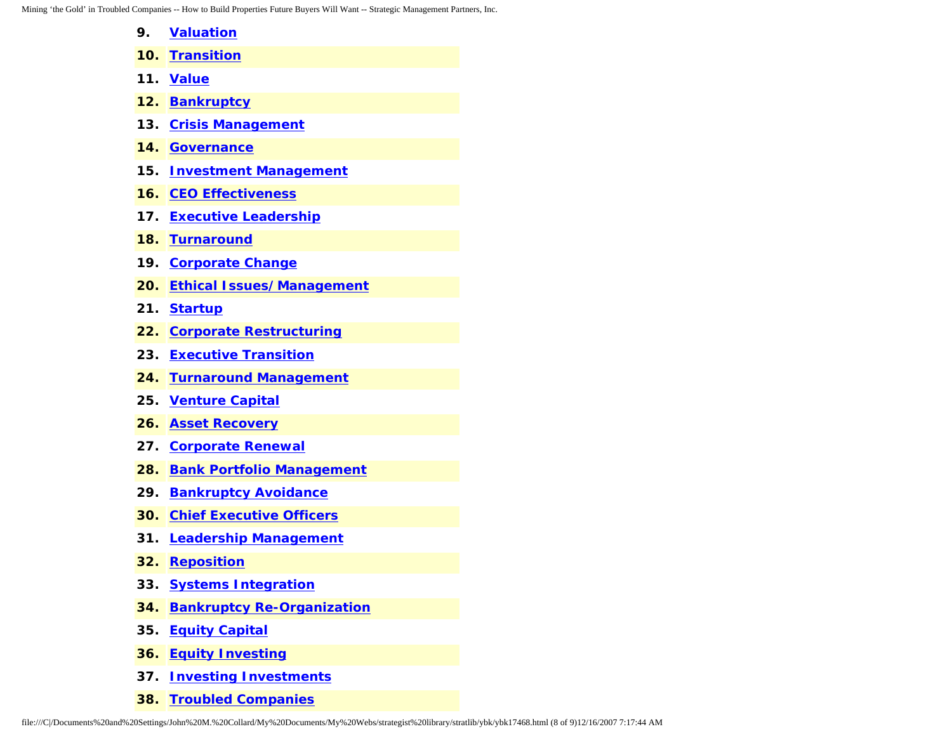- **9. [Valuation](http://www.expertclick.com/search/default.cfm?SearchCriteria=Valuation)**
- **10. [Transition](http://www.expertclick.com/search/default.cfm?SearchCriteria=Transition)**
- **11. [Value](http://www.expertclick.com/search/default.cfm?SearchCriteria=Value)**
- **12. [Bankruptcy](http://www.expertclick.com/search/default.cfm?SearchCriteria=Bankruptcy)**
- **13. [Crisis Management](http://www.expertclick.com/search/default.cfm?SearchCriteria=Crisis Management)**
- **14. [Governance](http://www.expertclick.com/search/default.cfm?SearchCriteria=Governance)**
- **15. [Investment Management](http://www.expertclick.com/search/default.cfm?SearchCriteria=Investment Management)**
- **16. [CEO Effectiveness](http://www.expertclick.com/search/default.cfm?SearchCriteria=CEO Effectiveness)**
- **17. [Executive Leadership](http://www.expertclick.com/search/default.cfm?SearchCriteria=Executive Leadership)**
- **18. [Turnaround](http://www.expertclick.com/search/default.cfm?SearchCriteria=Turnaround)**
- **19. [Corporate Change](http://www.expertclick.com/search/default.cfm?SearchCriteria=Corporate Change)**
- **20. [Ethical Issues/Management](http://www.expertclick.com/search/default.cfm?SearchCriteria=Ethical Issues/Management)**
- **21. [Startup](http://www.expertclick.com/search/default.cfm?SearchCriteria=Startup)**
- **22. [Corporate Restructuring](http://www.expertclick.com/search/default.cfm?SearchCriteria=Corporate Restructuring)**
- **23. [Executive Transition](http://www.expertclick.com/search/default.cfm?SearchCriteria=Executive Transition)**
- **24. [Turnaround Management](http://www.expertclick.com/search/default.cfm?SearchCriteria=Turnaround Management)**
- **25. [Venture Capital](http://www.expertclick.com/search/default.cfm?SearchCriteria=Venture Capital)**
- **26. [Asset Recovery](http://www.expertclick.com/search/default.cfm?SearchCriteria=Asset Recovery)**
- **27. [Corporate Renewal](http://www.expertclick.com/search/default.cfm?SearchCriteria=Corporate Renewal)**
- **28. [Bank Portfolio Management](http://www.expertclick.com/search/default.cfm?SearchCriteria=Bank Portfolio Management)**
- **29. [Bankruptcy Avoidance](http://www.expertclick.com/search/default.cfm?SearchCriteria=Bankruptcy Avoidance)**
- **30. [Chief Executive Officers](http://www.expertclick.com/search/default.cfm?SearchCriteria=Chief Executive Officers)**
- **31. [Leadership Management](http://www.expertclick.com/search/default.cfm?SearchCriteria=Leadership Management)**
- **32. [Reposition](http://www.expertclick.com/search/default.cfm?SearchCriteria=Reposition)**
- **33. [Systems Integration](http://www.expertclick.com/search/default.cfm?SearchCriteria=Systems Integration)**
- **34. [Bankruptcy Re-Organization](http://www.expertclick.com/search/default.cfm?SearchCriteria=Bankruptcy Re-Organization)**
- **35. [Equity Capital](http://www.expertclick.com/search/default.cfm?SearchCriteria=Equity Capital)**
- **36. [Equity Investing](http://www.expertclick.com/search/default.cfm?SearchCriteria=Equity Investing)**
- **37. [Investing Investments](http://www.expertclick.com/search/default.cfm?SearchCriteria=Investing Investments)**
- **38. [Troubled Companies](http://www.expertclick.com/search/default.cfm?SearchCriteria=Troubled Companies)**